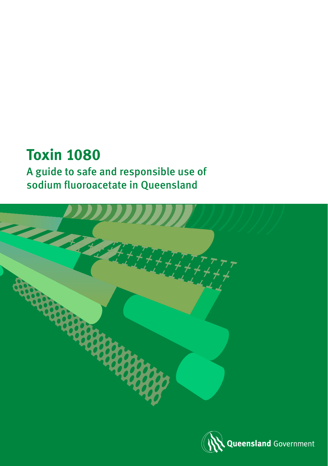# **Toxin 1080**

A guide to safe and responsible use of sodium fluoroacetate in Queensland



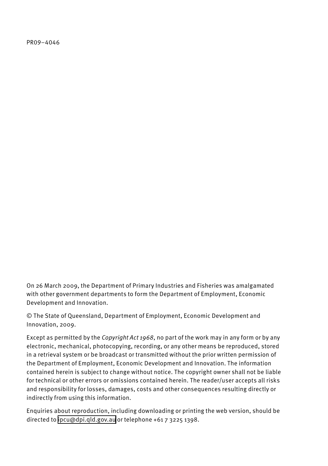PR09–4046

On 26 March 2009, the Department of Primary Industries and Fisheries was amalgamated with other government departments to form the Department of Employment, Economic Development and Innovation.

© The State of Queensland, Department of Employment, Economic Development and Innovation, 2009.

Except as permitted by the *Copyright Act 1968*, no part of the work may in any form or by any electronic, mechanical, photocopying, recording, or any other means be reproduced, stored in a retrieval system or be broadcast or transmitted without the prior written permission of the Department of Employment, Economic Development and Innovation. The information contained herein is subject to change without notice. The copyright owner shall not be liable for technical or other errors or omissions contained herein. The reader/user accepts all risks and responsibility for losses, damages, costs and other consequences resulting directly or indirectly from using this information.

Enquiries about reproduction, including downloading or printing the web version, should be directed to [ipcu@dpi.qld.gov.au](mailto:ipcu@dpi.qld.gov.au) or telephone +61 7 3225 1398.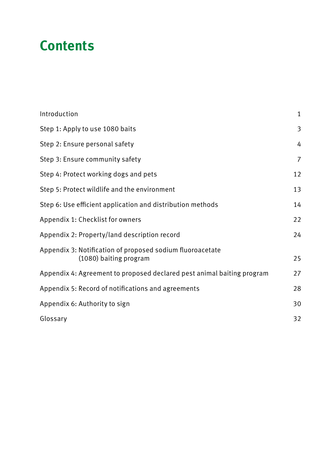# **Contents**

| Introduction                                                                        | $\mathbf{1}$ |
|-------------------------------------------------------------------------------------|--------------|
| Step 1: Apply to use 1080 baits                                                     | 3            |
| Step 2: Ensure personal safety                                                      | 4            |
| Step 3: Ensure community safety                                                     | 7            |
| Step 4: Protect working dogs and pets                                               | 12           |
| Step 5: Protect wildlife and the environment                                        | 13           |
| Step 6: Use efficient application and distribution methods                          | 14           |
| Appendix 1: Checklist for owners                                                    | 22           |
| Appendix 2: Property/land description record                                        | 24           |
| Appendix 3: Notification of proposed sodium fluoroacetate<br>(1080) baiting program | 25           |
| Appendix 4: Agreement to proposed declared pest animal baiting program              | 27           |
| Appendix 5: Record of notifications and agreements                                  | 28           |
| Appendix 6: Authority to sign                                                       | 30           |
| Glossary                                                                            | 32           |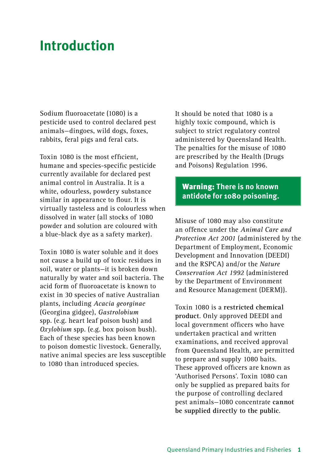# <span id="page-4-0"></span>**Introduction**

Sodium fluoroacetate (1080) is a pesticide used to control declared pest animals—dingoes, wild dogs, foxes, rabbits, feral pigs and feral cats.

Toxin 1080 is the most efficient, humane and species-specific pesticide currently available for declared pest animal control in Australia. It is a white, odourless, powdery substance similar in appearance to flour. It is virtually tasteless and is colourless when dissolved in water (all stocks of 1080 powder and solution are coloured with a blue-black dye as a safety marker).

Toxin 1080 is water soluble and it does not cause a build up of toxic residues in soil, water or plants—it is broken down naturally by water and soil bacteria. The acid form of fluoroacetate is known to exist in 30 species of native Australian plants, including *Acacia georginae* (Georgina gidgee), *Gastrolobium* spp. (e.g. heart leaf poison bush) and *Oxylobium* spp. (e.g. box poison bush). Each of these species has been known to poison domestic livestock. Generally, native animal species are less susceptible to 1080 than introduced species.

It should be noted that 1080 is a highly toxic compound, which is subject to strict regulatory control administered by Queensland Health. The penalties for the misuse of 1080 are prescribed by the Health (Drugs and Poisons) Regulation 1996.

### Warning: **There is no known antidote for 1080 poisoning.**

Misuse of 1080 may also constitute an offence under the *Animal Care and Protection Act 2001* (administered by the Department of Employment, Economic Development and Innovation (DEEDI) and the RSPCA) and/or the *Nature Conservation Act 1992* (administered by the Department of Environment and Resource Management (DERM)).

Toxin 1080 is a **restricted chemical product**. Only approved DEEDI and local government officers who have undertaken practical and written examinations, and received approval from Queensland Health, are permitted to prepare and supply 1080 baits. These approved officers are known as 'Authorised Persons'. Toxin 1080 can only be supplied as prepared baits for the purpose of controlling declared pest animals—1080 concentrate **cannot be supplied directly to the public**.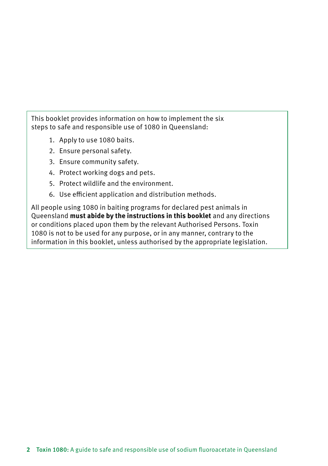This booklet provides information on how to implement the six steps to safe and responsible use of 1080 in Queensland:

- 1. Apply to use 1080 baits.
- 2. Ensure personal safety.
- 3. Ensure community safety.
- 4. Protect working dogs and pets.
- 5. Protect wildlife and the environment.
- 6. Use efficient application and distribution methods.

All people using 1080 in baiting programs for declared pest animals in Queensland **must abide by the instructions in this booklet** and any directions or conditions placed upon them by the relevant Authorised Persons. Toxin 1080 is not to be used for any purpose, or in any manner, contrary to the information in this booklet, unless authorised by the appropriate legislation.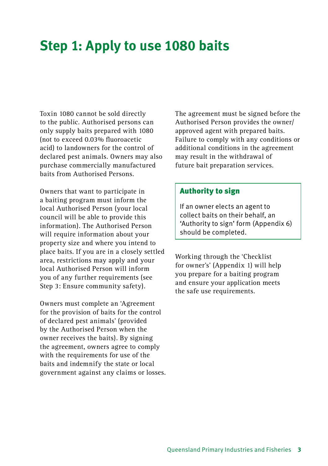# <span id="page-6-0"></span>**Step 1: Apply to use 1080 baits**

Toxin 1080 cannot be sold directly to the public. Authorised persons can only supply baits prepared with 1080 (not to exceed 0.03% fluoroacetic acid) to landowners for the control of declared pest animals. Owners may also purchase commercially manufactured baits from Authorised Persons.

Owners that want to participate in a baiting program must inform the local Authorised Person (your local council will be able to provide this information). The Authorised Person will require information about your property size and where you intend to place baits. If you are in a closely settled area, restrictions may apply and your local Authorised Person will inform you of any further requirements (see Step 3: Ensure community safety).

Owners must complete an 'Agreement for the provision of baits for the control of declared pest animals' (provided by the Authorised Person when the owner receives the baits). By signing the agreement, owners agree to comply with the requirements for use of the baits and indemnify the state or local government against any claims or losses. The agreement must be signed before the Authorised Person provides the owner/ approved agent with prepared baits. Failure to comply with any conditions or additional conditions in the agreement may result in the withdrawal of future bait preparation services.

### Authority to sign

If an owner elects an agent to collect baits on their behalf, an 'Authority to sign' form (Appendix 6) should be completed.

Working through the 'Checklist for owner's' (Appendix 1) will help you prepare for a baiting program and ensure your application meets the safe use requirements.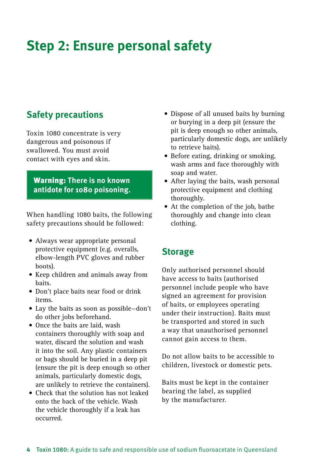# <span id="page-7-0"></span>**Step 2: Ensure personal safety**

## **Safety precautions**

Toxin 1080 concentrate is very dangerous and poisonous if swallowed. You must avoid contact with eyes and skin.

### Warning: **There is no known antidote for 1080 poisoning.**

When handling 1080 baits, the following safety precautions should be followed:

- Always wear appropriate personal protective equipment (e.g. overalls, elbow-length PVC gloves and rubber boots).
- • Keep children and animals away from baits.
- Don't place baits near food or drink items.
- • Lay the baits as soon as possible—don't do other jobs beforehand.
- Once the baits are laid, wash containers thoroughly with soap and water, discard the solution and wash it into the soil. Any plastic containers or bags should be buried in a deep pit (ensure the pit is deep enough so other animals, particularly domestic dogs, are unlikely to retrieve the containers).
- • Check that the solution has not leaked onto the back of the vehicle. Wash the vehicle thoroughly if a leak has occurred.
- Dispose of all unused baits by burning or burying in a deep pit (ensure the pit is deep enough so other animals, particularly domestic dogs, are unlikely to retrieve baits).
- Before eating, drinking or smoking, wash arms and face thoroughly with soap and water.
- After laying the baits, wash personal protective equipment and clothing thoroughly.
- At the completion of the job, bathe thoroughly and change into clean clothing.

### **Storage**

Only authorised personnel should have access to baits (authorised personnel include people who have signed an agreement for provision of baits, or employees operating under their instruction). Baits must be transported and stored in such a way that unauthorised personnel cannot gain access to them.

Do not allow baits to be accessible to children, livestock or domestic pets.

Baits must be kept in the container bearing the label, as supplied by the manufacturer.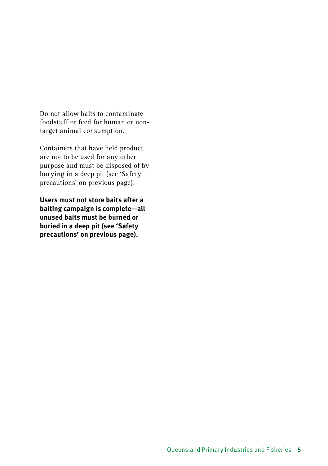Do not allow baits to contaminate foodstuff or feed for human or nontarget animal consumption.

Containers that have held product are not to be used for any other purpose and must be disposed of by burying in a deep pit (see 'Safety precautions' on previous page).

**Users must not store baits after a baiting campaign is complete—all unused baits must be burned or buried in a deep pit (see 'Safety precautions' on previous page).**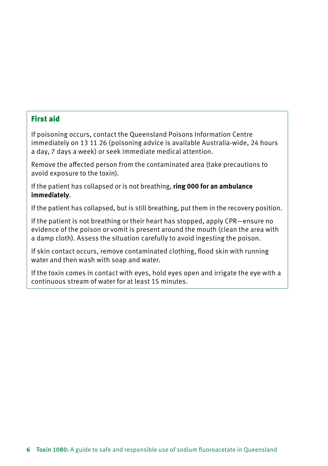### First aid

If poisoning occurs, contact the Queensland Poisons Information Centre immediately on 13 11 26 (poisoning advice is available Australia-wide, 24 hours a day, 7 days a week) or seek immediate medical attention.

Remove the affected person from the contaminated area (take precautions to avoid exposure to the toxin).

If the patient has collapsed or is not breathing, **ring 000 for an ambulance immediately**.

If the patient has collapsed, but is still breathing, put them in the recovery position.

If the patient is not breathing or their heart has stopped, apply CPR—ensure no evidence of the poison or vomit is present around the mouth (clean the area with a damp cloth). Assess the situation carefully to avoid ingesting the poison.

If skin contact occurs, remove contaminated clothing, flood skin with running water and then wash with soap and water.

If the toxin comes in contact with eyes, hold eyes open and irrigate the eye with a continuous stream of water for at least 15 minutes.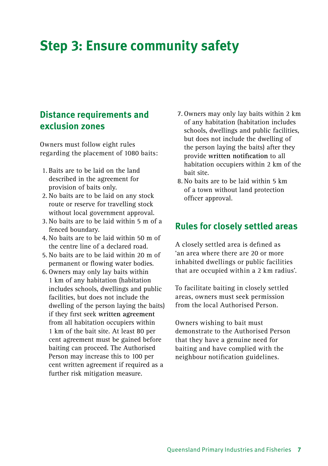# <span id="page-10-0"></span>**Step 3: Ensure community safety**

### **Distance requirements and exclusion zones**

Owners must follow eight rules regarding the placement of 1080 baits:

- 1. Baits are to be laid on the land described in the agreement for provision of baits only.
- 2. No baits are to be laid on any stock route or reserve for travelling stock without local government approval.
- 3. No baits are to be laid within 5 m of a fenced boundary.
- 4. No baits are to be laid within 50 m of the centre line of a declared road.
- 5. No baits are to be laid within 20 m of permanent or flowing water bodies.
- 6. Owners may only lay baits within 1 km of any habitation (habitation includes schools, dwellings and public facilities, but does not include the dwelling of the person laying the baits) if they first seek **written agreement** from all habitation occupiers within 1 km of the bait site. At least 80 per cent agreement must be gained before baiting can proceed. The Authorised Person may increase this to 100 per cent written agreement if required as a further risk mitigation measure.
- 7. Owners may only lay baits within 2 km of any habitation (habitation includes schools, dwellings and public facilities, but does not include the dwelling of the person laying the baits) after they provide **written notification** to all habitation occupiers within 2 km of the bait site.
- 8. No baits are to be laid within 5 km of a town without land protection officer approval.

### **Rules for closely settled areas**

A closely settled area is defined as 'an area where there are 20 or more inhabited dwellings or public facilities that are occupied within a 2 km radius'.

To facilitate baiting in closely settled areas, owners must seek permission from the local Authorised Person.

Owners wishing to bait must demonstrate to the Authorised Person that they have a genuine need for baiting and have complied with the neighbour notification guidelines.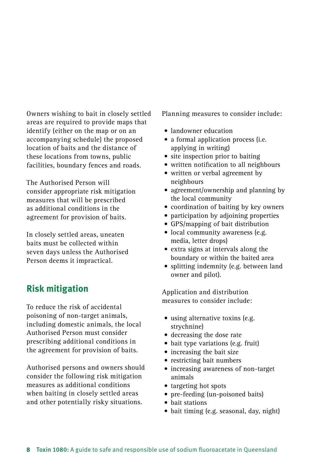Owners wishing to bait in closely settled areas are required to provide maps that identify (either on the map or on an accompanying schedule) the proposed location of baits and the distance of these locations from towns, public facilities, boundary fences and roads.

The Authorised Person will consider appropriate risk mitigation measures that will be prescribed as additional conditions in the agreement for provision of baits.

In closely settled areas, uneaten baits must be collected within seven days unless the Authorised Person deems it impractical.

## **Risk mitigation**

To reduce the risk of accidental poisoning of non-target animals, including domestic animals, the local Authorised Person must consider prescribing additional conditions in the agreement for provision of baits.

Authorised persons and owners should consider the following risk mitigation measures as additional conditions when baiting in closely settled areas and other potentially risky situations.

Planning measures to consider include:

- • landowner education
- a formal application process (i.e. applying in writing)
- site inspection prior to baiting
- • written notification to all neighbours
- written or verbal agreement by neighbours
- agreement/ownership and planning by the local community
- • coordination of baiting by key owners
- participation by adjoining properties
- • GPS/mapping of bait distribution
- local community awareness (e.g. media, letter drops)
- extra signs at intervals along the boundary or within the baited area
- splitting indemnity (e.g. between land owner and pilot).

Application and distribution measures to consider include:

- using alternative toxins (e.g. strychnine)
- • decreasing the dose rate
- bait type variations (e.g. fruit)
- increasing the bait size
- restricting bait numbers
- increasing awareness of non-target animals
- targeting hot spots
- pre-feeding (un-poisoned baits)
- • bait stations
- bait timing (e.g. seasonal, day, night)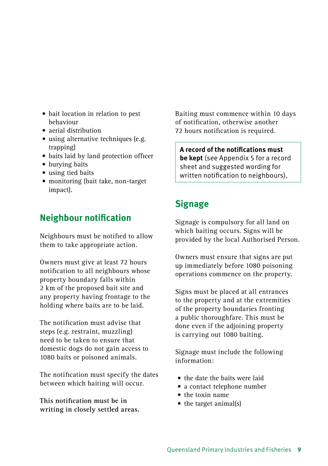- bait location in relation to pest behaviour
- aerial distribution
- using alternative techniques (e.g. trapping)
- • baits laid by land protection officer
- burying baits
- using tied baits
- monitoring (bait take, non-target impact).

### **Neighbour notification**

Neighbours must be notified to allow them to take appropriate action.

Owners must give at least 72 hours notification to all neighbours whose property boundary falls within 2 km of the proposed bait site and any property having frontage to the holding where baits are to be laid.

The notification must advise that steps (e.g. restraint, muzzling) need to be taken to ensure that domestic dogs do not gain access to 1080 baits or poisoned animals.

The notification must specify the dates between which baiting will occur.

**This notification must be in writing in closely settled areas.** Baiting must commence within 10 days of notification, otherwise another 72 hours notification is required.

**A record of the notifications must be kept** (see Appendix 5 for a record sheet and suggested wording for written notification to neighbours).

## **Signage**

Signage is compulsory for all land on which baiting occurs. Signs will be provided by the local Authorised Person.

Owners must ensure that signs are put up immediately before 1080 poisoning operations commence on the property.

Signs must be placed at all entrances to the property and at the extremities of the property boundaries fronting a public thoroughfare. This must be done even if the adioining property is carrying out 1080 baiting.

Signage must include the following information:

- the date the baits were laid
- a contact telephone number
- the toxin name
- the target animal(s)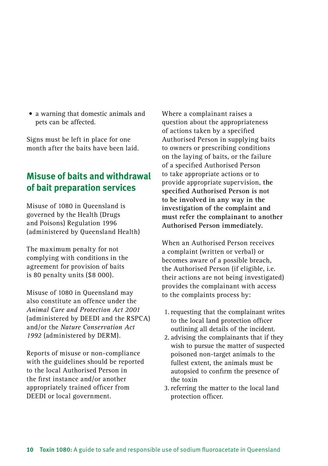• a warning that domestic animals and pets can be affected.

Signs must be left in place for one month after the baits have been laid.

### **Misuse of baits and withdrawal of bait preparation services**

Misuse of 1080 in Queensland is governed by the Health (Drugs and Poisons) Regulation 1996 (administered by Queensland Health)

The maximum penalty for not complying with conditions in the agreement for provision of baits is 80 penalty units (\$8 000).

Misuse of 1080 in Queensland may also constitute an offence under the *Animal Care and Protection Act 2001* (administered by DEEDI and the RSPCA) and/or the *Nature Conservation Act 1992* (administered by DERM).

Reports of misuse or non-compliance with the guidelines should be reported to the local Authorised Person in the first instance and/or another appropriately trained officer from DEEDI or local government.

Where a complainant raises a question about the appropriateness of actions taken by a specified Authorised Person in supplying baits to owners or prescribing conditions on the laying of baits, or the failure of a specified Authorised Person to take appropriate actions or to provide appropriate supervision, **the specified Authorised Person is not to be involved in any way in the investigation of the complaint and must refer the complainant to another Authorised Person immediately.**

When an Authorised Person receives a complaint (written or verbal) or becomes aware of a possible breach, the Authorised Person (if eligible, i.e. their actions are not being investigated) provides the complainant with access to the complaints process by:

- 1. requesting that the complainant writes to the local land protection officer outlining all details of the incident.
- 2. advising the complainants that if they wish to pursue the matter of suspected poisoned non-target animals to the fullest extent, the animals must be autopsied to confirm the presence of the toxin
- 3. referring the matter to the local land protection officer.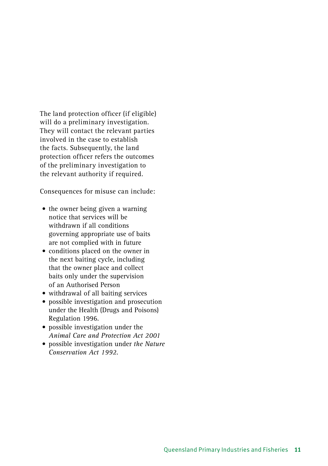The land protection officer (if eligible) will do a preliminary investigation. They will contact the relevant parties involved in the case to establish the facts. Subsequently, the land protection officer refers the outcomes of the preliminary investigation to the relevant authority if required.

Consequences for misuse can include:

- the owner being given a warning notice that services will be withdrawn if all conditions governing appropriate use of baits are not complied with in future
- conditions placed on the owner in the next baiting cycle, including that the owner place and collect baits only under the supervision of an Authorised Person
- • withdrawal of all baiting services
- • possible investigation and prosecution under the Health (Drugs and Poisons) Regulation 1996.
- possible investigation under the *Animal Care and Protection Act 2001*
- • possible investigation under *the Nature Conservation Act 1992*.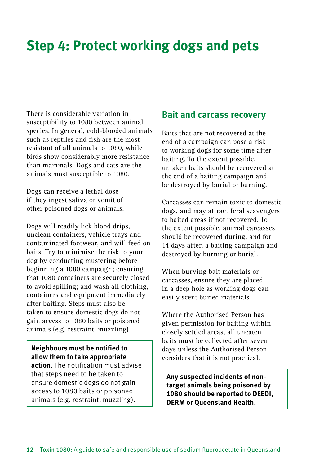# <span id="page-15-0"></span>**Step 4: Protect working dogs and pets**

There is considerable variation in susceptibility to 1080 between animal species. In general, cold-blooded animals such as reptiles and fish are the most resistant of all animals to 1080, while birds show considerably more resistance than mammals. Dogs and cats are the animals most susceptible to 1080.

Dogs can receive a lethal dose if they ingest saliva or vomit of other poisoned dogs or animals.

Dogs will readily lick blood drips, unclean containers, vehicle trays and contaminated footwear, and will feed on baits. Try to minimise the risk to your dog by conducting mustering before beginning a 1080 campaign; ensuring that 1080 containers are securely closed to avoid spilling; and wash all clothing, containers and equipment immediately after baiting. Steps must also be taken to ensure domestic dogs do not gain access to 1080 baits or poisoned animals (e.g. restraint, muzzling).

**Neighbours must be notified to allow them to take appropriate action**. The notification must advise that steps need to be taken to ensure domestic dogs do not gain access to 1080 baits or poisoned animals (e.g. restraint, muzzling).

### **Bait and carcass recovery**

Baits that are not recovered at the end of a campaign can pose a risk to working dogs for some time after baiting. To the extent possible, untaken baits should be recovered at the end of a baiting campaign and be destroyed by burial or burning.

Carcasses can remain toxic to domestic dogs, and may attract feral scavengers to baited areas if not recovered. To the extent possible, animal carcasses should be recovered during, and for 14 days after, a baiting campaign and destroyed by burning or burial.

When burying bait materials or carcasses, ensure they are placed in a deep hole as working dogs can easily scent buried materials.

Where the Authorised Person has given permission for baiting within closely settled areas, all uneaten baits **must** be collected after seven days unless the Authorised Person considers that it is not practical.

**Any suspected incidents of nontarget animals being poisoned by 1080 should be reported to DEEDI, DERM or Queensland Health.**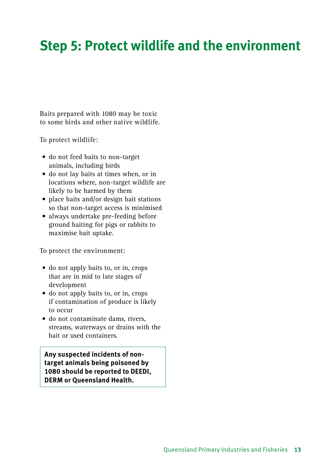# <span id="page-16-0"></span>**Step 5: Protect wildlife and the environment**

Baits prepared with 1080 may be toxic to some birds and other native wildlife.

To protect wildlife:

- do not feed baits to non-target animals, including birds
- • do not lay baits at times when, or in locations where, non-target wildlife are likely to be harmed by them
- place baits and/or design bait stations so that non-target access is minimised
- always undertake pre-feeding before ground baiting for pigs or rabbits to maximise bait uptake.

To protect the environment:

- do not apply baits to, or in, crops that are in mid to late stages of development
- do not apply baits to, or in, crops if contamination of produce is likely to occur
- do not contaminate dams, rivers, streams, waterways or drains with the bait or used containers.

**Any suspected incidents of nontarget animals being poisoned by 1080 should be reported to DEEDI, DERM or Queensland Health.**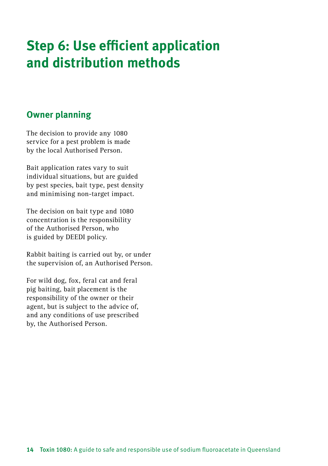# <span id="page-17-0"></span>**Step 6: Use efficient application and distribution methods**

### **Owner planning**

The decision to provide any 1080 service for a pest problem is made by the local Authorised Person.

Bait application rates vary to suit individual situations, but are guided by pest species, bait type, pest density and minimising non-target impact.

The decision on bait type and 1080 concentration is the responsibility of the Authorised Person, who is guided by DEEDI policy.

Rabbit baiting is carried out by, or under the supervision of, an Authorised Person.

For wild dog, fox, feral cat and feral pig baiting, bait placement is the responsibility of the owner or their agent, but is subject to the advice of, and any conditions of use prescribed by, the Authorised Person.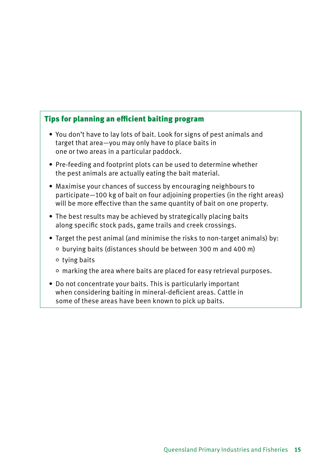### Tips for planning an efficient baiting program

- You don't have to lay lots of bait. Look for signs of pest animals and target that area—you may only have to place baits in one or two areas in a particular paddock.
- Pre-feeding and footprint plots can be used to determine whether the pest animals are actually eating the bait material.
- Maximise your chances of success by encouraging neighbours to participate—100 kg of bait on four adjoining properties (in the right areas) will be more effective than the same quantity of bait on one property.
- The best results may be achieved by strategically placing baits along specific stock pads, game trails and creek crossings.
- Target the pest animal (and minimise the risks to non-target animals) by: burying baits (distances should be between 300 m and 400 m)
	- $\circ$  tying baits
	- marking the area where baits are placed for easy retrieval purposes.
- Do not concentrate your baits. This is particularly important when considering baiting in mineral-deficient areas. Cattle in some of these areas have been known to pick up baits.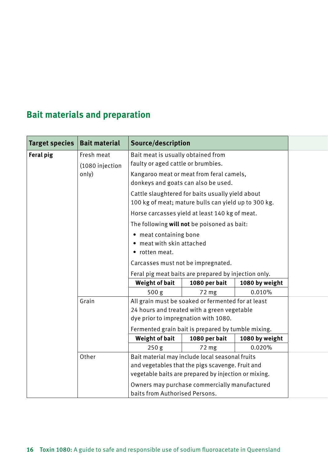# **Bait materials and preparation**

| Target species   Bait material |                               | Source/description                                                                                        |                                                    |                |  |  |
|--------------------------------|-------------------------------|-----------------------------------------------------------------------------------------------------------|----------------------------------------------------|----------------|--|--|
| Feral pig                      | Fresh meat<br>(1080 injection | Bait meat is usually obtained from<br>faulty or aged cattle or brumbies.                                  |                                                    |                |  |  |
|                                | only)                         | Kangaroo meat or meat from feral camels,<br>donkeys and goats can also be used.                           |                                                    |                |  |  |
|                                |                               | Cattle slaughtered for baits usually yield about<br>100 kg of meat; mature bulls can yield up to 300 kg.  |                                                    |                |  |  |
|                                |                               | Horse carcasses yield at least 140 kg of meat.                                                            |                                                    |                |  |  |
|                                |                               | The following will not be poisoned as bait:                                                               |                                                    |                |  |  |
|                                |                               | • meat containing bone<br>• meat with skin attached<br>• rotten meat.                                     |                                                    |                |  |  |
|                                |                               | Carcasses must not be impregnated.                                                                        |                                                    |                |  |  |
|                                |                               |                                                                                                           |                                                    |                |  |  |
|                                |                               | Feral pig meat baits are prepared by injection only.<br>Weight of bait<br>1080 per bait<br>1080 by weight |                                                    |                |  |  |
|                                |                               | 500 <sub>g</sub>                                                                                          | 72 <sub>mg</sub>                                   | 0.010%         |  |  |
|                                | Grain                         | All grain must be soaked or fermented for at least                                                        |                                                    |                |  |  |
|                                |                               | 24 hours and treated with a green vegetable                                                               |                                                    |                |  |  |
|                                |                               | dye prior to impregnation with 1080.                                                                      |                                                    |                |  |  |
|                                |                               |                                                                                                           | Fermented grain bait is prepared by tumble mixing. |                |  |  |
|                                |                               | Weight of bait                                                                                            | 1080 per bait                                      | 1080 by weight |  |  |
|                                |                               | 250 <sub>g</sub>                                                                                          | 72 mg                                              | 0.020%         |  |  |
|                                | Other                         | Bait material may include local seasonal fruits                                                           |                                                    |                |  |  |
|                                |                               | and vegetables that the pigs scavenge. Fruit and<br>vegetable baits are prepared by injection or mixing.  |                                                    |                |  |  |
|                                |                               |                                                                                                           |                                                    |                |  |  |
|                                |                               | Owners may purchase commercially manufactured                                                             |                                                    |                |  |  |
|                                |                               | baits from Authorised Persons.                                                                            |                                                    |                |  |  |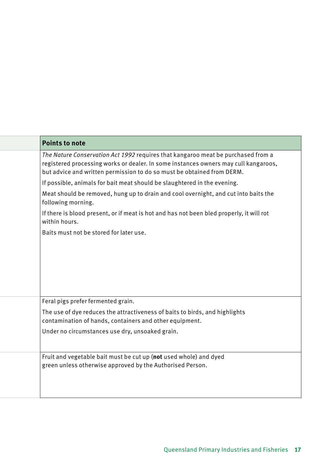| <b>Points to note</b>                                                                                                                                                                                                                             |
|---------------------------------------------------------------------------------------------------------------------------------------------------------------------------------------------------------------------------------------------------|
| The Nature Conservation Act 1992 requires that kangaroo meat be purchased from a<br>registered processing works or dealer. In some instances owners may cull kangaroos,<br>but advice and written permission to do so must be obtained from DERM. |
| If possible, animals for bait meat should be slaughtered in the evening.                                                                                                                                                                          |
| Meat should be removed, hung up to drain and cool overnight, and cut into baits the<br>following morning.                                                                                                                                         |
| If there is blood present, or if meat is hot and has not been bled properly, it will rot<br>within hours.                                                                                                                                         |
| Baits must not be stored for later use.                                                                                                                                                                                                           |
|                                                                                                                                                                                                                                                   |
|                                                                                                                                                                                                                                                   |
|                                                                                                                                                                                                                                                   |
| Feral pigs prefer fermented grain.                                                                                                                                                                                                                |
| The use of dye reduces the attractiveness of baits to birds, and highlights<br>contamination of hands, containers and other equipment.                                                                                                            |
| Under no circumstances use dry, unsoaked grain.                                                                                                                                                                                                   |
| Fruit and vegetable bait must be cut up (not used whole) and dyed                                                                                                                                                                                 |
| green unless otherwise approved by the Authorised Person.                                                                                                                                                                                         |
|                                                                                                                                                                                                                                                   |
|                                                                                                                                                                                                                                                   |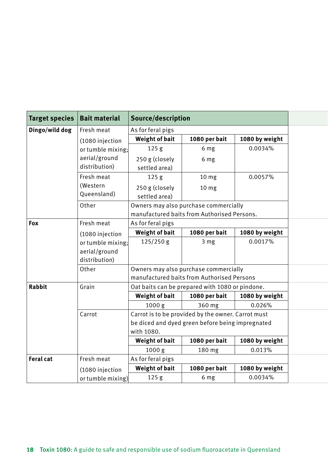| <b>Target species</b> | <b>Bait material</b>                                | Source/description                                                                                                   |                                       |                |
|-----------------------|-----------------------------------------------------|----------------------------------------------------------------------------------------------------------------------|---------------------------------------|----------------|
| Dingo/wild dog        | Fresh meat                                          | As for feral pigs                                                                                                    |                                       |                |
|                       | (1080 injection                                     | Weight of bait                                                                                                       | 1080 per bait                         | 1080 by weight |
|                       | or tumble mixing;                                   | 125 <sub>g</sub>                                                                                                     | 6 mg                                  | 0.0034%        |
|                       | aerial/ground<br>distribution)                      | 250 g (closely<br>settled area)                                                                                      | 6 mg                                  |                |
|                       | Fresh meat                                          | 125 <sub>g</sub>                                                                                                     | 10 <sub>mg</sub>                      | 0.0057%        |
|                       | (Western<br>Queensland)                             | 250 g (closely<br>settled area)                                                                                      | 10 <sub>mg</sub>                      |                |
|                       | Other                                               | manufactured baits from Authorised Persons.                                                                          | Owners may also purchase commercially |                |
| Fox                   | Fresh meat                                          | As for feral pigs                                                                                                    |                                       |                |
|                       | (1080 injection                                     | Weight of bait                                                                                                       | 1080 per bait                         | 1080 by weight |
|                       | or tumble mixing:<br>aerial/ground<br>distribution) | 125/250 g                                                                                                            | 3 <sub>mg</sub>                       | 0.0017%        |
|                       | Other                                               | Owners may also purchase commercially<br>manufactured baits from Authorised Persons                                  |                                       |                |
| Rabbit                | Grain                                               | Oat baits can be prepared with 1080 or pindone.                                                                      |                                       |                |
|                       |                                                     | Weight of bait                                                                                                       | 1080 per bait                         | 1080 by weight |
|                       |                                                     | 1000 g                                                                                                               | 360 mg                                | 0.026%         |
|                       | Carrot                                              | Carrot is to be provided by the owner. Carrot must<br>be diced and dyed green before being impregnated<br>with 1080. |                                       |                |
|                       |                                                     | Weight of bait                                                                                                       | 1080 per bait                         | 1080 by weight |
|                       |                                                     | 1000 <sub>g</sub>                                                                                                    | 180 mg                                | 0.013%         |
| Feral cat             | Fresh meat                                          | As for feral pigs                                                                                                    |                                       |                |
|                       | (1080 injection                                     | Weight of bait                                                                                                       | 1080 per bait                         | 1080 by weight |
|                       | or tumble mixing)                                   | 125 <sub>g</sub>                                                                                                     | 6 mg                                  | 0.0034%        |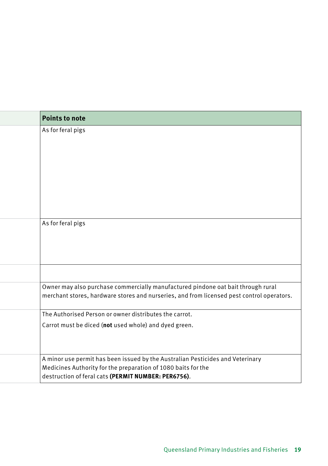| <b>Points to note</b>                                                                     |
|-------------------------------------------------------------------------------------------|
| As for feral pigs                                                                         |
|                                                                                           |
|                                                                                           |
|                                                                                           |
|                                                                                           |
|                                                                                           |
|                                                                                           |
|                                                                                           |
|                                                                                           |
| As for feral pigs                                                                         |
|                                                                                           |
|                                                                                           |
|                                                                                           |
|                                                                                           |
|                                                                                           |
| Owner may also purchase commercially manufactured pindone oat bait through rural          |
| merchant stores, hardware stores and nurseries, and from licensed pest control operators. |
| The Authorised Person or owner distributes the carrot.                                    |
| Carrot must be diced (not used whole) and dyed green.                                     |
|                                                                                           |
|                                                                                           |
| A minor use permit has been issued by the Australian Pesticides and Veterinary            |
| Medicines Authority for the preparation of 1080 baits for the                             |
| destruction of feral cats (PERMIT NUMBER: PER6756).                                       |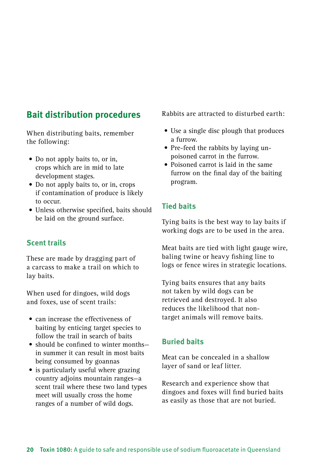### **Bait distribution procedures**

When distributing baits, remember the following:

- Do not apply baits to, or in, crops which are in mid to late development stages.
- Do not apply baits to, or in, crops if contamination of produce is likely to occur.
- Unless otherwise specified, baits should be laid on the ground surface.

### **Scent trails**

These are made by dragging part of a carcass to make a trail on which to lay baits.

When used for dingoes, wild dogs and foxes, use of scent trails:

- can increase the effectiveness of baiting by enticing target species to follow the trail in search of baits
- should be confined to winter monthsin summer it can result in most baits being consumed by goannas
- is particularly useful where grazing country adjoins mountain ranges—a scent trail where these two land types meet will usually cross the home ranges of a number of wild dogs.

Rabbits are attracted to disturbed earth:

- Use a single disc plough that produces a furrow.
- Pre-feed the rabbits by laying unpoisoned carrot in the furrow.
- Poisoned carrot is laid in the same furrow on the final day of the baiting program.

### **Tied baits**

Tying baits is the best way to lay baits if working dogs are to be used in the area.

Meat baits are tied with light gauge wire, baling twine or heavy fishing line to logs or fence wires in strategic locations.

Tying baits ensures that any baits not taken by wild dogs can be retrieved and destroyed. It also reduces the likelihood that nontarget animals will remove baits.

### **Buried baits**

Meat can be concealed in a shallow layer of sand or leaf litter.

Research and experience show that dingoes and foxes will find buried baits as easily as those that are not buried.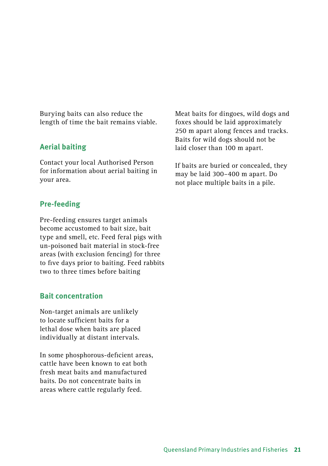Burying baits can also reduce the length of time the bait remains viable.

### **Aerial baiting**

Contact your local Authorised Person for information about aerial baiting in your area.

### **Pre-feeding**

Pre-feeding ensures target animals become accustomed to bait size, bait type and smell, etc. Feed feral pigs with un-poisoned bait material in stock-free areas (with exclusion fencing) for three to five days prior to baiting. Feed rabbits two to three times before baiting

### **Bait concentration**

Non-target animals are unlikely to locate sufficient baits for a lethal dose when baits are placed individually at distant intervals.

In some phosphorous-deficient areas, cattle have been known to eat both fresh meat baits and manufactured baits. Do not concentrate baits in areas where cattle regularly feed.

Meat baits for dingoes, wild dogs and foxes should be laid approximately 250 m apart along fences and tracks. Baits for wild dogs should not be laid closer than 100 m apart.

If baits are buried or concealed, they may be laid 300–400 m apart. Do not place multiple baits in a pile.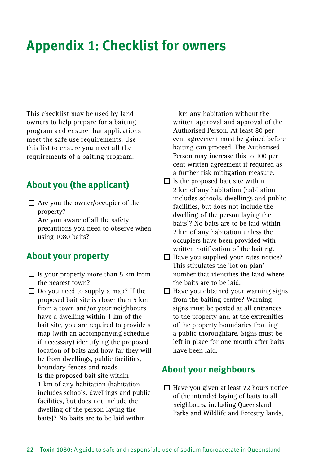# <span id="page-25-0"></span>**Appendix 1: Checklist for owners**

This checklist may be used by land owners to help prepare for a baiting program and ensure that applications meet the safe use requirements. Use this list to ensure you meet all the requirements of a baiting program.

### **About you (the applicant)**

- $\Box$  Are you the owner/occupier of the property?
- $\Box$  Are you aware of all the safety precautions you need to observe when using 1080 baits?

### **About your property**

- $\Box$  Is your property more than 5 km from the nearest town?
- $\Box$  Do you need to supply a map? If the proposed bait site is closer than 5 km from a town and/or your neighbours have a dwelling within 1 km of the bait site, you are required to provide a map (with an accompanying schedule if necessary) identifying the proposed location of baits and how far they will be from dwellings, public facilities, boundary fences and roads.
- $\Box$  Is the proposed bait site within 1 km of any habitation (habitation includes schools, dwellings and public facilities, but does not include the dwelling of the person laying the baits)? No baits are to be laid within

1 km any habitation without the written approval and approval of the Authorised Person. At least 80 per cent agreement must be gained before baiting can proceed. The Authorised Person may increase this to 100 per cent written agreement if required as a further risk mititgation measure.

- $\Box$  Is the proposed bait site within 2 km of any habitation (habitation includes schools, dwellings and public facilities, but does not include the dwelling of the person laying the baits)? No baits are to be laid within 2 km of any habitation unless the occupiers have been provided with written notification of the baiting.
- $\Box$  Have you supplied your rates notice? This stipulates the 'lot on plan' number that identifies the land where the baits are to be laid.
- $\Box$  Have you obtained your warning signs from the baiting centre? Warning signs must be posted at all entrances to the property and at the extremities of the property boundaries fronting a public thoroughfare. Signs must be left in place for one month after baits have been laid.

### **About your neighbours**

 $\Box$  Have you given at least 72 hours notice of the intended laying of baits to all neighbours, including Queensland Parks and Wildlife and Forestry lands,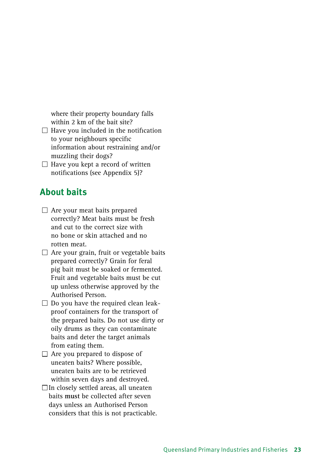where their property boundary falls within 2 km of the bait site?

- $\Box$  Have you included in the notification to your neighbours specific information about restraining and/or muzzling their dogs?
- $\Box$  Have you kept a record of written notifications (see Appendix 5)?

### **About baits**

- $\Box$  Are your meat baits prepared correctly? Meat baits must be fresh and cut to the correct size with no bone or skin attached and no rotten meat.
- $\Box$  Are your grain, fruit or vegetable baits prepared correctly? Grain for feral pig bait must be soaked or fermented. Fruit and vegetable baits must be cut up unless otherwise approved by the Authorised Person.
- $\square$  Do you have the required clean leakproof containers for the transport of the prepared baits. Do not use dirty or oily drums as they can contaminate baits and deter the target animals from eating them.
- $\Box$  Are you prepared to dispose of uneaten baits? Where possible, uneaten baits are to be retrieved within seven days and destroyed.
- $\Box$  In closely settled areas, all uneaten baits **must** be collected after seven days unless an Authorised Person considers that this is not practicable.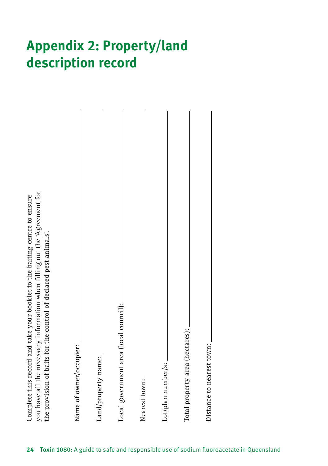# <span id="page-27-0"></span>**Appendix 2: Property/land description record**

| you have all the necessary information when filling out the 'Agreement for<br>Complete this record and take your booklet to the baiting centre to ensure<br>the provision of baits for the control of declared pest animals'. |
|-------------------------------------------------------------------------------------------------------------------------------------------------------------------------------------------------------------------------------|
| Name of owner/occupier:                                                                                                                                                                                                       |
| Land/property name:                                                                                                                                                                                                           |
| Local government area (local council): _                                                                                                                                                                                      |
| Nearest town:                                                                                                                                                                                                                 |
| Lot/plan number/s:                                                                                                                                                                                                            |
| Total property area (hectares):                                                                                                                                                                                               |
| Distance to nearest town:                                                                                                                                                                                                     |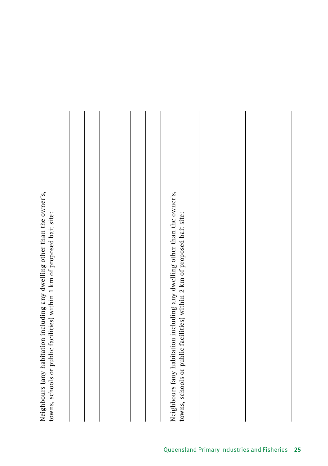<span id="page-28-0"></span>Neighbours (any habitation including any dwelling other than the owner's, Neighbours (any habitation including any dwelling other than the owner's, towns, schools or public facilities) within 1 km of proposed bait site: towns, schools or public facilities) within 1 km of proposed bait site:

Neighbours (any habitation including any dwelling other than the owner's, Neighbours (any habitation including any dwelling other than the owner's, towns, schools or public facilities) within 2 km of proposed bait site: towns, schools or public facilities) within 2 km of proposed bait site: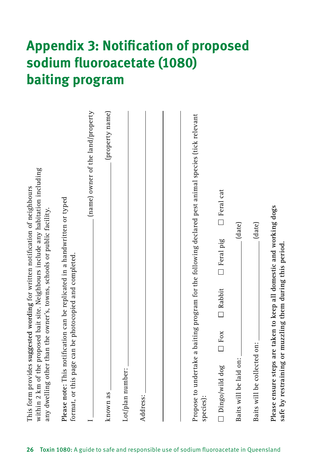# **Appendix 3: Notification of proposed sodium fluoroacetate (1080) baiting program**

| within 2 km of the proposed bait site. Neighbours include any habitation including<br>This form provides suggested wording for written notification of neighbours<br>any dwelling other than the owner's, towns, schools or public facility. |
|----------------------------------------------------------------------------------------------------------------------------------------------------------------------------------------------------------------------------------------------|
| Please note: This notification can be replicated in a handwritten or typed<br>format, or this page can be photocopied and completed.                                                                                                         |
| (name) owner of the land/property                                                                                                                                                                                                            |
| (property name)<br>known as                                                                                                                                                                                                                  |
| Lot/plan number:                                                                                                                                                                                                                             |
| Address:                                                                                                                                                                                                                                     |
|                                                                                                                                                                                                                                              |
|                                                                                                                                                                                                                                              |
| Propose to undertake a baiting program for the following declared pest animal species (tick relevant<br>species):                                                                                                                            |
| $\Box$ Feral cat<br>□ Feral pig<br>$\Box$ Rabbit<br>$\Box$ Fox<br>$\Box$ Dingo/wild dog                                                                                                                                                      |
| (date)<br>Baits will be laid on:                                                                                                                                                                                                             |
| (date)<br>Baits will be collected on:                                                                                                                                                                                                        |
| Please ensure steps are taken to keep all domestic and working dogs<br>safe by restraining or muzzling them during this period.                                                                                                              |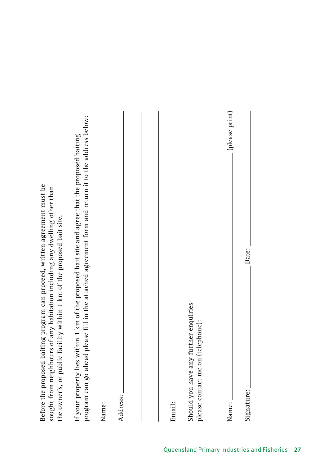Before the proposed baiting program can proceed, written agreement must be Before the proposed baiting program can proceed, written agreement must be sought from neighbours of any habitation including any dwelling other than sought from neighbours of any habitation including any dwelling other than the owner's, or public facility within 1 km of the proposed bait site. the owner's, or public facility within 1 km of the proposed bait site. If your property lies within 1 km of the proposed bait site and agree that the proposed baiting If your property lies within 1 km of the proposed bait site and agree that the proposed baiting

<span id="page-30-0"></span>

| i<br>L<br>$\mathcal{C} = \mathcal{I} - \mathcal{I} - \mathcal{I} - \mathcal{I} - \mathcal{I}$ | program can go ahead please fill in the attached agreement form and return it to the address below:<br>þ |
|-----------------------------------------------------------------------------------------------|----------------------------------------------------------------------------------------------------------|
| Name:                                                                                         |                                                                                                          |
| Address:                                                                                      |                                                                                                          |
|                                                                                               |                                                                                                          |
|                                                                                               |                                                                                                          |
| Email:                                                                                        |                                                                                                          |
|                                                                                               |                                                                                                          |
| Should you have any further enquiries<br>please contact me on (telephone):                    |                                                                                                          |
|                                                                                               |                                                                                                          |
| Name:                                                                                         | (please print)                                                                                           |
| Signature:                                                                                    | Date:                                                                                                    |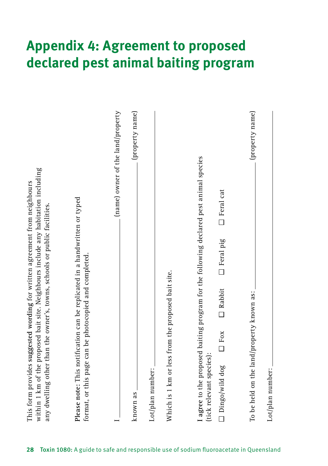# <span id="page-31-0"></span>**Appendix 4: Agreement to proposed declared pest animal baiting program**

| (name) owner of the land/property<br>(property name)<br>(property name)<br>I agree to the proposed baiting program for the following declared pest animal species<br>$\Box$ Feral cat<br>Please note: This notification can be replicated in a handwritten or typed<br>$\Box$ Feral pig<br>format, or this page can be photocopied and completed.<br>Which is 1 km or less from the proposed bait site.<br>$\Box$ Rabbit<br>To be held on the land/property known as:<br>$\Box$ Fox<br>(tick relevant species):<br>Dingo/wild dog<br>Lot/plan number:<br>Lot/plan number:<br>known as | within 1 km of the proposed bait site. Neighbours include any habitation including<br>This form provides suggested wording for written agreement from neighbours<br>any dwelling other than the owner's, towns, schools or public facilities. |
|---------------------------------------------------------------------------------------------------------------------------------------------------------------------------------------------------------------------------------------------------------------------------------------------------------------------------------------------------------------------------------------------------------------------------------------------------------------------------------------------------------------------------------------------------------------------------------------|-----------------------------------------------------------------------------------------------------------------------------------------------------------------------------------------------------------------------------------------------|
|                                                                                                                                                                                                                                                                                                                                                                                                                                                                                                                                                                                       |                                                                                                                                                                                                                                               |
|                                                                                                                                                                                                                                                                                                                                                                                                                                                                                                                                                                                       |                                                                                                                                                                                                                                               |
|                                                                                                                                                                                                                                                                                                                                                                                                                                                                                                                                                                                       |                                                                                                                                                                                                                                               |
|                                                                                                                                                                                                                                                                                                                                                                                                                                                                                                                                                                                       |                                                                                                                                                                                                                                               |
|                                                                                                                                                                                                                                                                                                                                                                                                                                                                                                                                                                                       |                                                                                                                                                                                                                                               |
|                                                                                                                                                                                                                                                                                                                                                                                                                                                                                                                                                                                       |                                                                                                                                                                                                                                               |
|                                                                                                                                                                                                                                                                                                                                                                                                                                                                                                                                                                                       |                                                                                                                                                                                                                                               |
|                                                                                                                                                                                                                                                                                                                                                                                                                                                                                                                                                                                       |                                                                                                                                                                                                                                               |
|                                                                                                                                                                                                                                                                                                                                                                                                                                                                                                                                                                                       |                                                                                                                                                                                                                                               |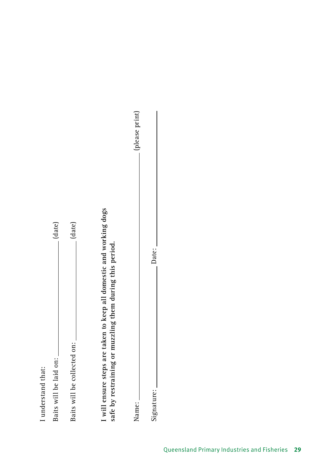| I understand that:                                                                                                              |                |
|---------------------------------------------------------------------------------------------------------------------------------|----------------|
| Baits will be laid on:                                                                                                          | (date)         |
| Baits will be collected on:                                                                                                     | (date)         |
| I will ensure steps are taken to keep all domestic and working dogs<br>safe by restraining or muzzling them during this period. |                |
| Name:                                                                                                                           | (please print) |
| Date:<br>Signature:                                                                                                             |                |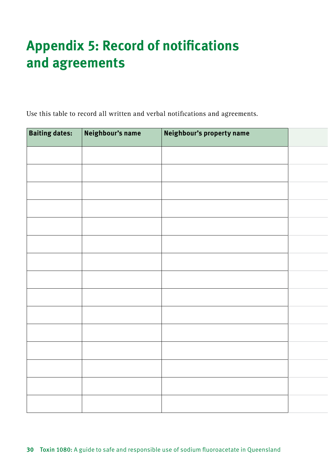# **Appendix 5: Record of notifications and agreements**

Use this table to record all written and verbal notifications and agreements.

| <b>Baiting dates:</b> | Neighbour's name | Neighbour's property name |  |
|-----------------------|------------------|---------------------------|--|
|                       |                  |                           |  |
|                       |                  |                           |  |
|                       |                  |                           |  |
|                       |                  |                           |  |
|                       |                  |                           |  |
|                       |                  |                           |  |
|                       |                  |                           |  |
|                       |                  |                           |  |
|                       |                  |                           |  |
|                       |                  |                           |  |
|                       |                  |                           |  |
|                       |                  |                           |  |
|                       |                  |                           |  |
|                       |                  |                           |  |
|                       |                  |                           |  |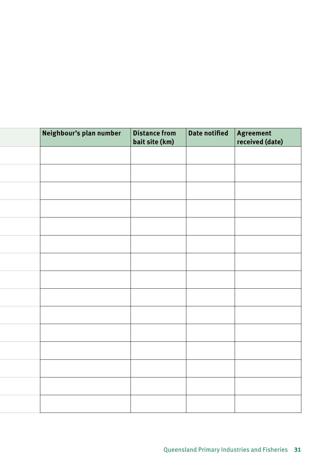|  | Neighbour's plan number | Distance from<br>bait site (km) | Date notified | Agreement<br>received (date) |
|--|-------------------------|---------------------------------|---------------|------------------------------|
|  |                         |                                 |               |                              |
|  |                         |                                 |               |                              |
|  |                         |                                 |               |                              |
|  |                         |                                 |               |                              |
|  |                         |                                 |               |                              |
|  |                         |                                 |               |                              |
|  |                         |                                 |               |                              |
|  |                         |                                 |               |                              |
|  |                         |                                 |               |                              |
|  |                         |                                 |               |                              |
|  |                         |                                 |               |                              |
|  |                         |                                 |               |                              |
|  |                         |                                 |               |                              |
|  |                         |                                 |               |                              |
|  |                         |                                 |               |                              |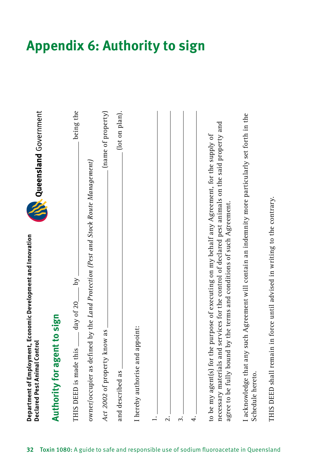

| Authority for agent to sign                                                                                                                                                                                                                                                  |                    |
|------------------------------------------------------------------------------------------------------------------------------------------------------------------------------------------------------------------------------------------------------------------------------|--------------------|
|                                                                                                                                                                                                                                                                              |                    |
| THIS DEED is made this _____ day of 20______ by                                                                                                                                                                                                                              | being the          |
| owner/occupier as defined by the Land Protection (Pest and Stock Route Management)                                                                                                                                                                                           |                    |
| Act 2002 of property know as                                                                                                                                                                                                                                                 | (name of property) |
| and described as                                                                                                                                                                                                                                                             | (lot on plan).     |
| I hereby authorise and appoint:                                                                                                                                                                                                                                              |                    |
| $\dot{=}$                                                                                                                                                                                                                                                                    |                    |
| $\ddot{\Omega}$                                                                                                                                                                                                                                                              |                    |
| $\ddot{ }$                                                                                                                                                                                                                                                                   |                    |
| 4.                                                                                                                                                                                                                                                                           |                    |
| necessary materials and services for the control of declared pest animals on the said property and<br>to be my agent(s) for the purpose of executing on my behalf any Agreement, for the supply of<br>agree to be fully bound by the terms and conditions of such Agreement. |                    |
| I acknowledge that any such Agreement will contain an indemnity more particularly set forth in the<br>Schedule hereto.                                                                                                                                                       |                    |
| THIS DEED shall remain in force until advised in writing to the contrary.                                                                                                                                                                                                    |                    |

# <span id="page-35-0"></span>**Appendix 6: Authority to sign**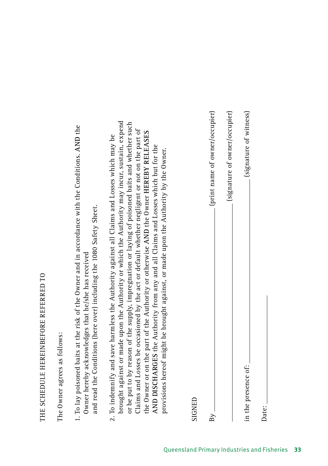# THE SCHEDULE HEREINBEFORE REFERRED TO THE SCHEDULE HEREINBEFORE REFERRED TO

The Owner agrees as follows: The Owner agrees as follows:

- 1. To lay poisoned baits at the risk of the Owner and in accordance with the Conditions. **AND** the 1. To lay poisoned baits at the risk of the Owner and in accordance with the Conditions. AND the and read the Conditions (here over) including the 1080 Safety Sheet. and read the Conditions (here over) including the 1080 Safety Sheet. Owner hereby acknowledges that he/she has received Owner hereby acknowledges that he/she has received
- brought against or made upon the Authority or which the Authority may incur, sustain, expend brought against or made upon the Authority or which the Authority may incur, sustain, expend or be put to by reason of the supply, impregnation or laying of poisoned baits and whether such or be put to by reason of the supply, impregnation or laying of poisoned baits and whether such Claims and Losses be occasioned by the act or default whether negligent or not on the part of Claims and Losses be occasioned by the act or default whether negligent or not on the part of the Owner or on the part of the Authority or otherwise AND the Owner HEREBY RELEASES the Owner or on the part of the Authority or otherwise **AND** the Owner **HEREBY RELEASES**  2. To indemnify and save harmless the Authority against all Claims and Losses which may be 2. To indemnify and save harmless the Authority against all Claims and Losses which may be AND DISCHARGES the Authority from any and all Claims and Losses which but for the **AND DISCHARGES** the Authority from any and all Claims and Losses which but for the provisions hereof might be brought against, or made upon the Authority by the Owner. provisions hereof might be brought against, or made upon the Authority by the Owner.

| SIGNED              |                                |
|---------------------|--------------------------------|
| $_{\rm By}$         | (print name of owner/occupier) |
|                     | (signature of owner/occupier)  |
| in the presence of: | (signature of witness)         |
| Date:               |                                |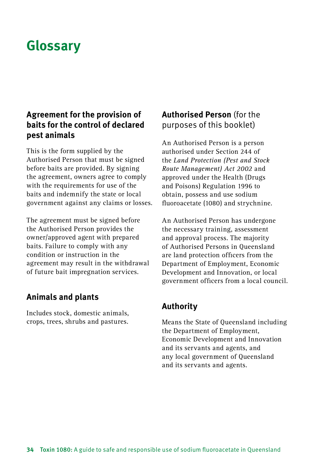# <span id="page-37-0"></span>**Glossary**

### **Agreement for the provision of baits for the control of declared pest animals**

This is the form supplied by the Authorised Person that must be signed before baits are provided. By signing the agreement, owners agree to comply with the requirements for use of the baits and indemnify the state or local government against any claims or losses.

The agreement must be signed before the Authorised Person provides the owner/approved agent with prepared baits. Failure to comply with any condition or instruction in the agreement may result in the withdrawal of future bait impregnation services.

### **Animals and plants**

Includes stock, domestic animals, crops, trees, shrubs and pastures.

### **Authorised Person** (for the purposes of this booklet)

An Authorised Person is a person authorised under Section 244 of the *Land Protection (Pest and Stock Route Management) Act 2002* and approved under the Health (Drugs and Poisons) Regulation 1996 to obtain, possess and use sodium fluoroacetate (1080) and strychnine.

An Authorised Person has undergone the necessary training, assessment and approval process. The majority of Authorised Persons in Queensland are land protection officers from the Department of Employment, Economic Development and Innovation, or local government officers from a local council.

### **Authority**

Means the State of Queensland including the Department of Employment, Economic Development and Innovation and its servants and agents, and any local government of Queensland and its servants and agents.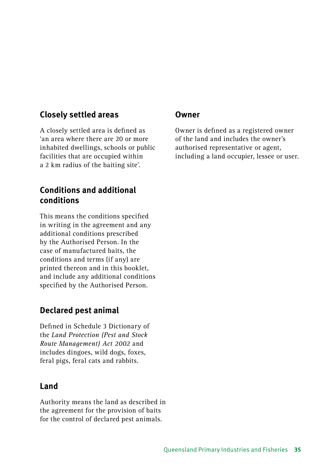### **Closely settled areas**

A closely settled area is defined as 'an area where there are 20 or more inhabited dwellings, schools or public facilities that are occupied within a 2 km radius of the baiting site'.

### **Conditions and additional conditions**

This means the conditions specified in writing in the agreement and any additional conditions prescribed by the Authorised Person. In the case of manufactured baits, the conditions and terms (if any) are printed thereon and in this booklet, and include any additional conditions specified by the Authorised Person.

### **Declared pest animal**

Defined in Schedule 3 Dictionary of the *Land Protection (Pest and Stock Route Management) Act 2002* and includes dingoes, wild dogs, foxes, feral pigs, feral cats and rabbits.

### **Land**

Authority means the land as described in the agreement for the provision of baits for the control of declared pest animals.

### **Owner**

Owner is defined as a registered owner of the land and includes the owner's authorised representative or agent, including a land occupier, lessee or user.